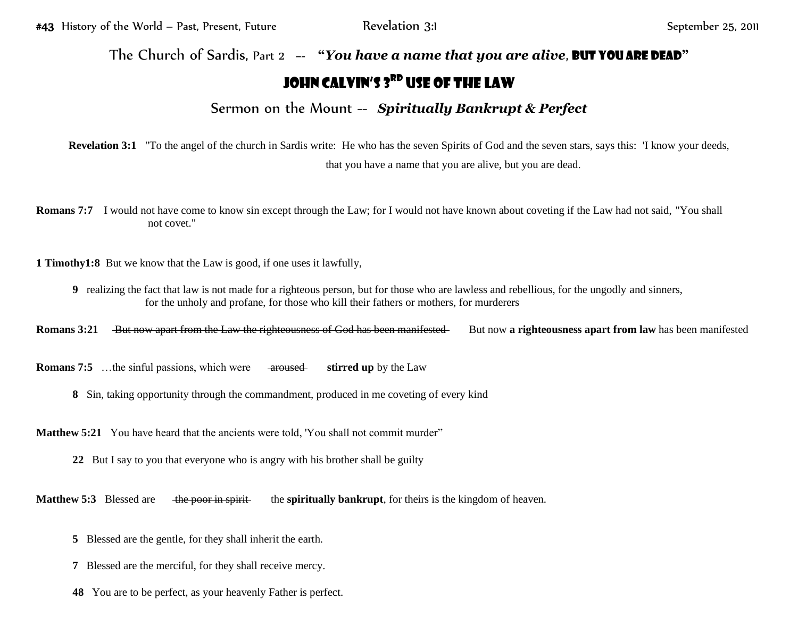The Church of Sardis, Part 2 -- "*You have a name that you are alive*, BUT YOU ARE DEAD"

## John Calvin's 3rd Use of the Law

Sermon on the Mount -- *Spiritually Bankrupt & Perfect*

**Revelation 3:1** "To the angel of the church in Sardis write: He who has the seven Spirits of God and the seven stars, says this: 'I know your deeds, that you have a name that you are alive, but you are dead.

**Romans 7:7** I would not have come to know sin except through the Law; for I would not have known about coveting if the Law had not said, "You shall not covet."

**1 Timothy1:8** But we know that the Law is good, if one uses it lawfully,

**9** realizing the fact that law is not made for a righteous person, but for those who are lawless and rebellious, for the ungodly and sinners, for the unholy and profane, for those who kill their fathers or mothers, for murderers

**Romans 3:21** But now apart from the Law the righteousness of God has been manifested But now **a righteousness apart from law** has been manifested

**Romans 7:5** …the sinful passions, which were <del>aroused</del> stirred up by the Law

**8** Sin, taking opportunity through the commandment, produced in me coveting of every kind

**Matthew 5:21** You have heard that the ancients were told, 'You shall not commit murder"

**22** But I say to you that everyone who is angry with his brother shall be guilty

**Matthew 5:3** Blessed are the poor in spirit the **spiritually bankrupt**, for theirs is the kingdom of heaven.

- **5** Blessed are the gentle, for they shall inherit the earth.
- **7** Blessed are the merciful, for they shall receive mercy.
- **48** You are to be perfect, as your heavenly Father is perfect.